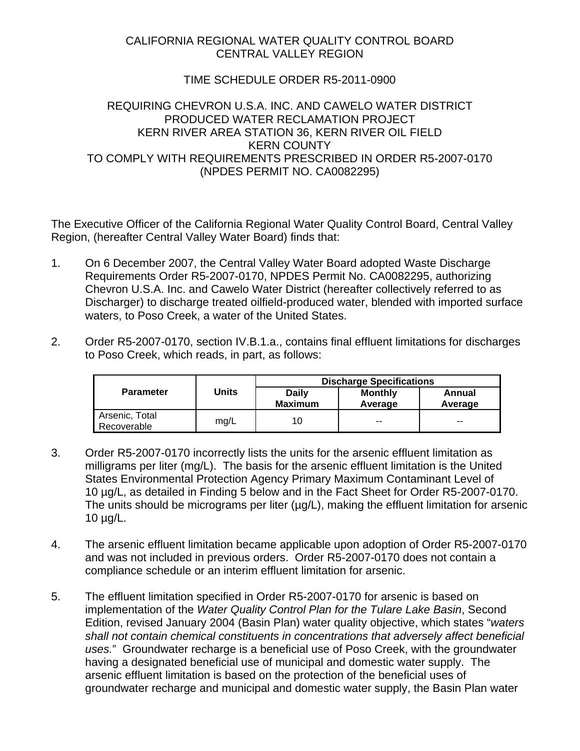## CALIFORNIA REGIONAL WATER QUALITY CONTROL BOARD CENTRAL VALLEY REGION

## TIME SCHEDULE ORDER R5-2011-0900

## REQUIRING CHEVRON U.S.A. INC. AND CAWELO WATER DISTRICT PRODUCED WATER RECLAMATION PROJECT KERN RIVER AREA STATION 36, KERN RIVER OIL FIELD KERN COUNTY TO COMPLY WITH REQUIREMENTS PRESCRIBED IN ORDER R5-2007-0170 (NPDES PERMIT NO. CA0082295)

The Executive Officer of the California Regional Water Quality Control Board, Central Valley Region, (hereafter Central Valley Water Board) finds that:

- 1. On 6 December 2007, the Central Valley Water Board adopted Waste Discharge Requirements Order R5-2007-0170, NPDES Permit No. CA0082295, authorizing Chevron U.S.A. Inc. and Cawelo Water District (hereafter collectively referred to as Discharger) to discharge treated oilfield-produced water, blended with imported surface waters, to Poso Creek, a water of the United States.
- 2. Order R5-2007-0170, section IV.B.1.a., contains final effluent limitations for discharges to Poso Creek, which reads, in part, as follows:

|                               |       | <b>Discharge Specifications</b> |                           |                   |  |
|-------------------------------|-------|---------------------------------|---------------------------|-------------------|--|
| <b>Parameter</b>              | Units | <b>Daily</b><br><b>Maximum</b>  | <b>Monthly</b><br>Average | Annual<br>Average |  |
| Arsenic, Total<br>Recoverable | mg/L  | 10                              | $- -$                     | $- -$             |  |

- 3. Order R5-2007-0170 incorrectly lists the units for the arsenic effluent limitation as milligrams per liter (mg/L). The basis for the arsenic effluent limitation is the United States Environmental Protection Agency Primary Maximum Contaminant Level of 10 µg/L, as detailed in Finding 5 below and in the Fact Sheet for Order R5-2007-0170. The units should be micrograms per liter ( $\mu$ g/L), making the effluent limitation for arsenic 10 µg/L.
- 4. The arsenic effluent limitation became applicable upon adoption of Order R5-2007-0170 and was not included in previous orders. Order R5-2007-0170 does not contain a compliance schedule or an interim effluent limitation for arsenic.
- 5. The effluent limitation specified in Order R5-2007-0170 for arsenic is based on implementation of the *Water Quality Control Plan for the Tulare Lake Basin*, Second Edition, revised January 2004 (Basin Plan) water quality objective, which states "*waters shall not contain chemical constituents in concentrations that adversely affect beneficial uses.*" Groundwater recharge is a beneficial use of Poso Creek, with the groundwater having a designated beneficial use of municipal and domestic water supply. The arsenic effluent limitation is based on the protection of the beneficial uses of groundwater recharge and municipal and domestic water supply, the Basin Plan water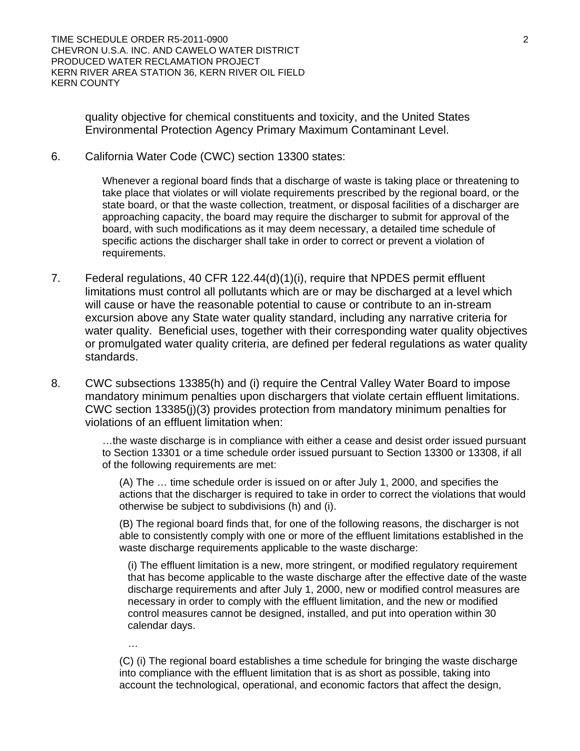quality objective for chemical constituents and toxicity, and the United States Environmental Protection Agency Primary Maximum Contaminant Level.

6. California Water Code (CWC) section 13300 states:

Whenever a regional board finds that a discharge of waste is taking place or threatening to take place that violates or will violate requirements prescribed by the regional board, or the state board, or that the waste collection, treatment, or disposal facilities of a discharger are approaching capacity, the board may require the discharger to submit for approval of the board, with such modifications as it may deem necessary, a detailed time schedule of specific actions the discharger shall take in order to correct or prevent a violation of requirements.

- 7. Federal regulations, 40 CFR 122.44(d)(1)(i), require that NPDES permit effluent limitations must control all pollutants which are or may be discharged at a level which will cause or have the reasonable potential to cause or contribute to an in-stream excursion above any State water quality standard, including any narrative criteria for water quality. Beneficial uses, together with their corresponding water quality objectives or promulgated water quality criteria, are defined per federal regulations as water quality standards.
- 8. CWC subsections 13385(h) and (i) require the Central Valley Water Board to impose mandatory minimum penalties upon dischargers that violate certain effluent limitations. CWC section 13385(j)(3) provides protection from mandatory minimum penalties for violations of an effluent limitation when:

…the waste discharge is in compliance with either a cease and desist order issued pursuant to Section 13301 or a time schedule order issued pursuant to Section 13300 or 13308, if all of the following requirements are met:

(A) The … time schedule order is issued on or after July 1, 2000, and specifies the actions that the discharger is required to take in order to correct the violations that would otherwise be subject to subdivisions (h) and (i).

(B) The regional board finds that, for one of the following reasons, the discharger is not able to consistently comply with one or more of the effluent limitations established in the waste discharge requirements applicable to the waste discharge:

(i) The effluent limitation is a new, more stringent, or modified regulatory requirement that has become applicable to the waste discharge after the effective date of the waste discharge requirements and after July 1, 2000, new or modified control measures are necessary in order to comply with the effluent limitation, and the new or modified control measures cannot be designed, installed, and put into operation within 30 calendar days.

…

(C) (i) The regional board establishes a time schedule for bringing the waste discharge into compliance with the effluent limitation that is as short as possible, taking into account the technological, operational, and economic factors that affect the design,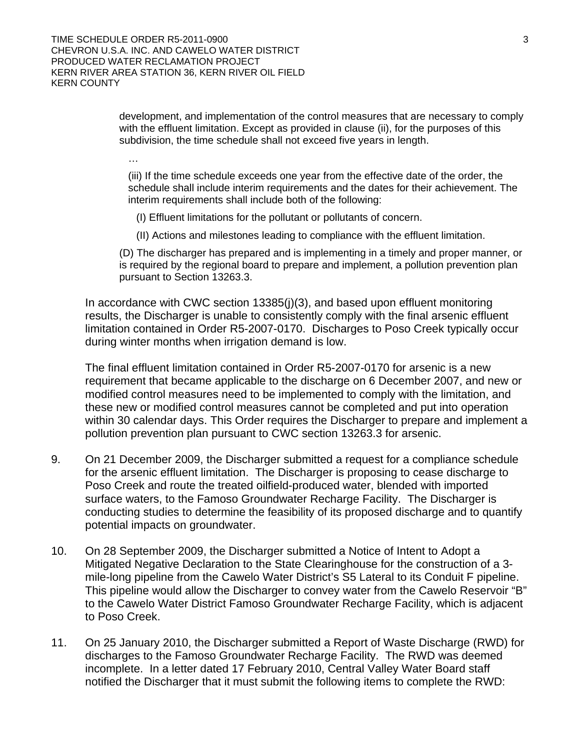development, and implementation of the control measures that are necessary to comply with the effluent limitation. Except as provided in clause (ii), for the purposes of this subdivision, the time schedule shall not exceed five years in length.

…

(iii) If the time schedule exceeds one year from the effective date of the order, the schedule shall include interim requirements and the dates for their achievement. The interim requirements shall include both of the following:

(I) Effluent limitations for the pollutant or pollutants of concern.

(II) Actions and milestones leading to compliance with the effluent limitation.

(D) The discharger has prepared and is implementing in a timely and proper manner, or is required by the regional board to prepare and implement, a pollution prevention plan pursuant to Section 13263.3.

In accordance with CWC section 13385(j)(3), and based upon effluent monitoring results, the Discharger is unable to consistently comply with the final arsenic effluent limitation contained in Order R5-2007-0170. Discharges to Poso Creek typically occur during winter months when irrigation demand is low.

The final effluent limitation contained in Order R5-2007-0170 for arsenic is a new requirement that became applicable to the discharge on 6 December 2007, and new or modified control measures need to be implemented to comply with the limitation, and these new or modified control measures cannot be completed and put into operation within 30 calendar days. This Order requires the Discharger to prepare and implement a pollution prevention plan pursuant to CWC section 13263.3 for arsenic.

- 9. On 21 December 2009, the Discharger submitted a request for a compliance schedule for the arsenic effluent limitation. The Discharger is proposing to cease discharge to Poso Creek and route the treated oilfield-produced water, blended with imported surface waters, to the Famoso Groundwater Recharge Facility. The Discharger is conducting studies to determine the feasibility of its proposed discharge and to quantify potential impacts on groundwater.
- 10. On 28 September 2009, the Discharger submitted a Notice of Intent to Adopt a Mitigated Negative Declaration to the State Clearinghouse for the construction of a 3 mile-long pipeline from the Cawelo Water District's S5 Lateral to its Conduit F pipeline. This pipeline would allow the Discharger to convey water from the Cawelo Reservoir "B" to the Cawelo Water District Famoso Groundwater Recharge Facility, which is adjacent to Poso Creek.
- 11. On 25 January 2010, the Discharger submitted a Report of Waste Discharge (RWD) for discharges to the Famoso Groundwater Recharge Facility. The RWD was deemed incomplete. In a letter dated 17 February 2010, Central Valley Water Board staff notified the Discharger that it must submit the following items to complete the RWD: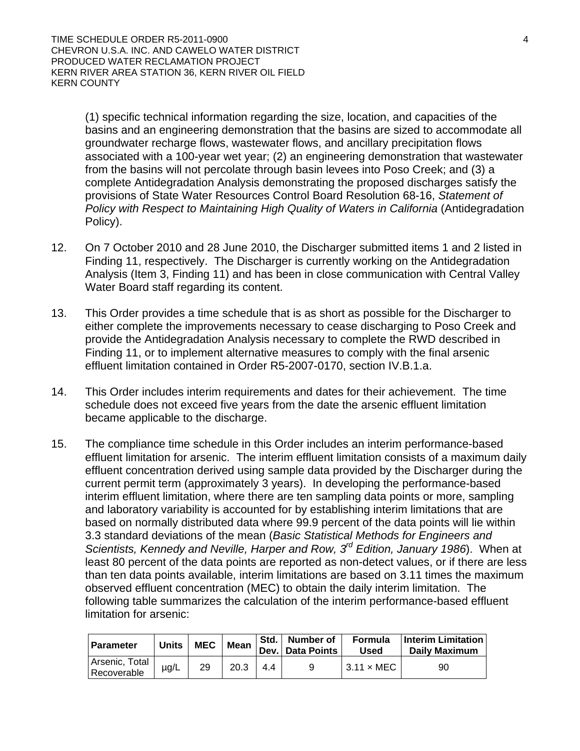(1) specific technical information regarding the size, location, and capacities of the basins and an engineering demonstration that the basins are sized to accommodate all groundwater recharge flows, wastewater flows, and ancillary precipitation flows associated with a 100-year wet year; (2) an engineering demonstration that wastewater from the basins will not percolate through basin levees into Poso Creek; and (3) a complete Antidegradation Analysis demonstrating the proposed discharges satisfy the provisions of State Water Resources Control Board Resolution 68-16, *Statement of*  Policy with Respect to Maintaining High Quality of Waters in California (Antidegradation Policy).

- 12. On 7 October 2010 and 28 June 2010, the Discharger submitted items 1 and 2 listed in Finding 11, respectively. The Discharger is currently working on the Antidegradation Analysis (Item 3, Finding 11) and has been in close communication with Central Valley Water Board staff regarding its content.
- 13. This Order provides a time schedule that is as short as possible for the Discharger to either complete the improvements necessary to cease discharging to Poso Creek and provide the Antidegradation Analysis necessary to complete the RWD described in Finding 11, or to implement alternative measures to comply with the final arsenic effluent limitation contained in Order R5-2007-0170, section IV.B.1.a.
- 14. This Order includes interim requirements and dates for their achievement. The time schedule does not exceed five years from the date the arsenic effluent limitation became applicable to the discharge.
- 15. The compliance time schedule in this Order includes an interim performance-based effluent limitation for arsenic. The interim effluent limitation consists of a maximum daily effluent concentration derived using sample data provided by the Discharger during the current permit term (approximately 3 years). In developing the performance-based interim effluent limitation, where there are ten sampling data points or more, sampling and laboratory variability is accounted for by establishing interim limitations that are based on normally distributed data where 99.9 percent of the data points will lie within 3.3 standard deviations of the mean (*Basic Statistical Methods for Engineers and Scientists, Kennedy and Neville, Harper and Row, 3rd Edition, January 1986*). When at least 80 percent of the data points are reported as non-detect values, or if there are less than ten data points available, interim limitations are based on 3.11 times the maximum observed effluent concentration (MEC) to obtain the daily interim limitation. The following table summarizes the calculation of the interim performance-based effluent limitation for arsenic:

| Parameter                     | <b>Units</b> | <b>MEC</b> | Mean |     | Std.   Number of<br>Dev. Data Points | Formula<br>Used           | <b>Interim Limitation</b><br>Daily Maximum |
|-------------------------------|--------------|------------|------|-----|--------------------------------------|---------------------------|--------------------------------------------|
| Arsenic, Total<br>Recoverable | $\mu$ g/L    | 29         | 20.3 | 4.4 | a                                    | $13.11 \times \text{MEC}$ | 90                                         |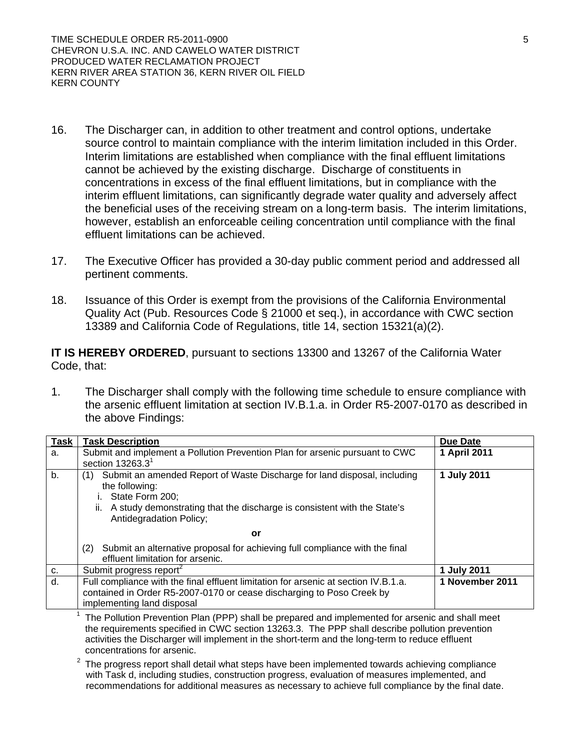- 16. The Discharger can, in addition to other treatment and control options, undertake source control to maintain compliance with the interim limitation included in this Order. Interim limitations are established when compliance with the final effluent limitations cannot be achieved by the existing discharge. Discharge of constituents in concentrations in excess of the final effluent limitations, but in compliance with the interim effluent limitations, can significantly degrade water quality and adversely affect the beneficial uses of the receiving stream on a long-term basis. The interim limitations, however, establish an enforceable ceiling concentration until compliance with the final effluent limitations can be achieved.
- 17. The Executive Officer has provided a 30-day public comment period and addressed all pertinent comments.
- 18. Issuance of this Order is exempt from the provisions of the California Environmental Quality Act (Pub. Resources Code § 21000 et seq.), in accordance with CWC section 13389 and California Code of Regulations, title 14, section 15321(a)(2).

**IT IS HEREBY ORDERED**, pursuant to sections 13300 and 13267 of the California Water Code, that:

1. The Discharger shall comply with the following time schedule to ensure compliance with the arsenic effluent limitation at section IV.B.1.a. in Order R5-2007-0170 as described in the above Findings:

| Task | <b>Task Description</b>                                                                                          | <b>Due Date</b> |
|------|------------------------------------------------------------------------------------------------------------------|-----------------|
| a.   | Submit and implement a Pollution Prevention Plan for arsenic pursuant to CWC                                     | 1 April 2011    |
|      | section $13263.31$                                                                                               |                 |
| b.   | Submit an amended Report of Waste Discharge for land disposal, including<br>(1)                                  | 1 July 2011     |
|      | the following:                                                                                                   |                 |
|      | i. State Form 200;                                                                                               |                 |
|      | A study demonstrating that the discharge is consistent with the State's<br>ii.<br><b>Antidegradation Policy;</b> |                 |
|      | or                                                                                                               |                 |
|      |                                                                                                                  |                 |
|      | Submit an alternative proposal for achieving full compliance with the final<br>(2)                               |                 |
|      | effluent limitation for arsenic.                                                                                 |                 |
| C.   | Submit progress report <sup>2</sup>                                                                              | 1 July 2011     |
| d.   | Full compliance with the final effluent limitation for arsenic at section IV.B.1.a.                              | 1 November 2011 |
|      | contained in Order R5-2007-0170 or cease discharging to Poso Creek by                                            |                 |
|      | implementing land disposal                                                                                       |                 |
|      |                                                                                                                  |                 |

<sup>1</sup> The Pollution Prevention Plan (PPP) shall be prepared and implemented for arsenic and shall meet the requirements specified in CWC section 13263.3. The PPP shall describe pollution prevention activities the Discharger will implement in the short-term and the long-term to reduce effluent concentrations for arsenic.

 $2$  The progress report shall detail what steps have been implemented towards achieving compliance with Task d, including studies, construction progress, evaluation of measures implemented, and recommendations for additional measures as necessary to achieve full compliance by the final date.